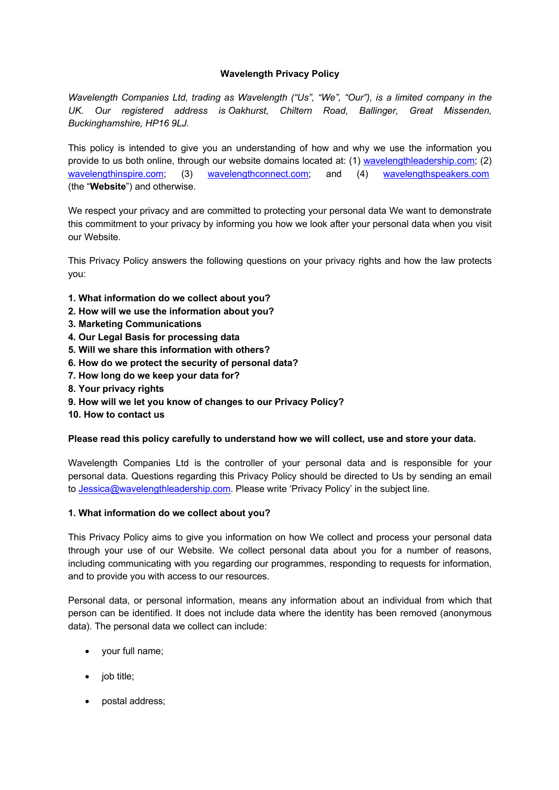# **Wavelength Privacy Policy**

*Wavelength Companies Ltd, trading as Wavelength ("Us", "We", "Our"), is a limited company in the UK. Our registered address is Oakhurst, Chiltern Road, Ballinger, Great Missenden, Buckinghamshire, HP16 9LJ.*

This policy is intended to give you an understanding of how and why we use the information you provide to us both online, through our website domains located at: (1) wavelengthleadership.com; (2) wavelengthinspire.com; (3) wavelengthconnect.com; and (4) wavelengthspeakers.com (the "**Website**") and otherwise.

We respect your privacy and are committed to protecting your personal data We want to demonstrate this commitment to your privacy by informing you how we look after your personal data when you visit our Website.

This Privacy Policy answers the following questions on your privacy rights and how the law protects you:

- **1. What information do we collect about you?**
- **2. How will we use the information about you?**
- **3. Marketing Communications**
- **4. Our Legal Basis for processing data**
- **5. Will we share this information with others?**
- **6. How do we protect the security of personal data?**
- **7. How long do we keep your data for?**
- **8. Your privacy rights**
- **9. How will we let you know of changes to our Privacy Policy?**
- **10. How to contact us**

### **Please read this policy carefully to understand how we will collect, use and store your data.**

Wavelength Companies Ltd is the controller of your personal data and is responsible for your personal data. Questions regarding this Privacy Policy should be directed to Us by sending an email to Jessica@wavelengthleadership.com. Please write 'Privacy Policy' in the subject line.

### **1. What information do we collect about you?**

This Privacy Policy aims to give you information on how We collect and process your personal data through your use of our Website. We collect personal data about you for a number of reasons, including communicating with you regarding our programmes, responding to requests for information, and to provide you with access to our resources.

Personal data, or personal information, means any information about an individual from which that person can be identified. It does not include data where the identity has been removed (anonymous data). The personal data we collect can include:

- your full name;
- job title;
- postal address;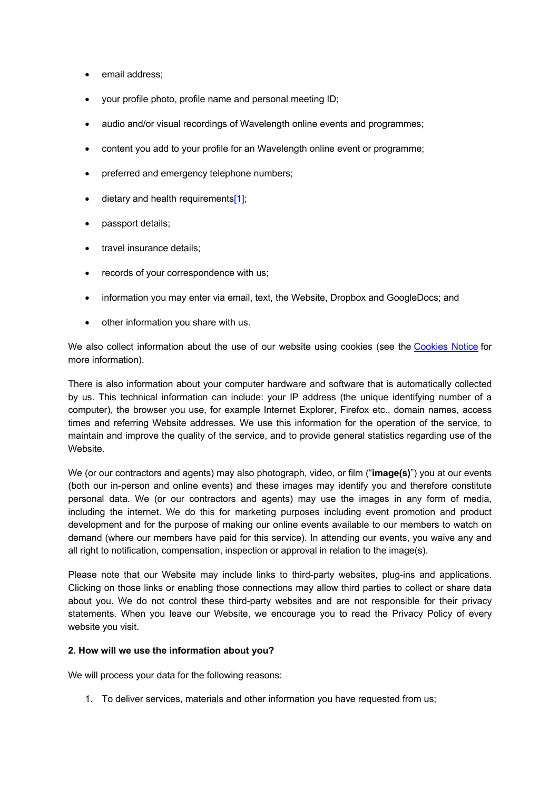- email address:
- your profile photo, profile name and personal meeting ID;
- audio and/or visual recordings of Wavelength online events and programmes;
- content you add to your profile for an Wavelength online event or programme;
- preferred and emergency telephone numbers;
- dietary and health requirements $[1]$ ;
- passport details;
- travel insurance details:
- records of your correspondence with us;
- information you may enter via email, text, the Website, Dropbox and GoogleDocs; and
- other information you share with us.

We also collect information about the use of our website using cookies (see the Cookies Notice for more information).

There is also information about your computer hardware and software that is automatically collected by us. This technical information can include: your IP address (the unique identifying number of a computer), the browser you use, for example Internet Explorer, Firefox etc., domain names, access times and referring Website addresses. We use this information for the operation of the service, to maintain and improve the quality of the service, and to provide general statistics regarding use of the Website.

We (or our contractors and agents) may also photograph, video, or film ("**image(s)**") you at our events (both our in-person and online events) and these images may identify you and therefore constitute personal data. We (or our contractors and agents) may use the images in any form of media, including the internet. We do this for marketing purposes including event promotion and product development and for the purpose of making our online events available to our members to watch on demand (where our members have paid for this service). In attending our events, you waive any and all right to notification, compensation, inspection or approval in relation to the image(s).

Please note that our Website may include links to third-party websites, plug-ins and applications. Clicking on those links or enabling those connections may allow third parties to collect or share data about you. We do not control these third-party websites and are not responsible for their privacy statements. When you leave our Website, we encourage you to read the Privacy Policy of every website you visit.

### **2. How will we use the information about you?**

We will process your data for the following reasons:

1. To deliver services, materials and other information you have requested from us;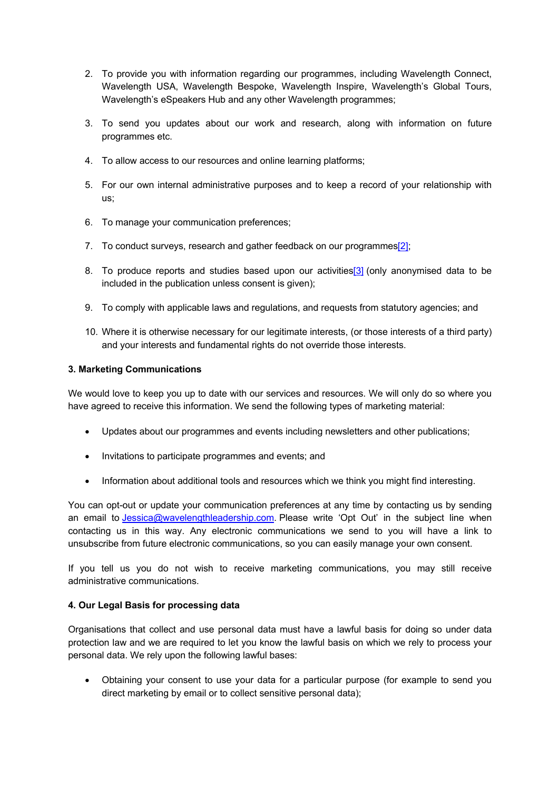- 2. To provide you with information regarding our programmes, including Wavelength Connect, Wavelength USA, Wavelength Bespoke, Wavelength Inspire, Wavelength's Global Tours, Wavelength's eSpeakers Hub and any other Wavelength programmes;
- 3. To send you updates about our work and research, along with information on future programmes etc.
- 4. To allow access to our resources and online learning platforms;
- 5. For our own internal administrative purposes and to keep a record of your relationship with us;
- 6. To manage your communication preferences;
- 7. To conduct surveys, research and gather feedback on our programmes<sup>[2]</sup>;
- 8. To produce reports and studies based upon our activities[3] (only anonymised data to be included in the publication unless consent is given);
- 9. To comply with applicable laws and regulations, and requests from statutory agencies; and
- 10. Where it is otherwise necessary for our legitimate interests, (or those interests of a third party) and your interests and fundamental rights do not override those interests.

### **3. Marketing Communications**

We would love to keep you up to date with our services and resources. We will only do so where you have agreed to receive this information. We send the following types of marketing material:

- Updates about our programmes and events including newsletters and other publications;
- Invitations to participate programmes and events; and
- Information about additional tools and resources which we think you might find interesting.

You can opt-out or update your communication preferences at any time by contacting us by sending an email to *Jessica@wavelengthleadership.com*. Please write 'Opt Out' in the subject line when contacting us in this way. Any electronic communications we send to you will have a link to unsubscribe from future electronic communications, so you can easily manage your own consent.

If you tell us you do not wish to receive marketing communications, you may still receive administrative communications.

### **4. Our Legal Basis for processing data**

Organisations that collect and use personal data must have a lawful basis for doing so under data protection law and we are required to let you know the lawful basis on which we rely to process your personal data. We rely upon the following lawful bases:

• Obtaining your consent to use your data for a particular purpose (for example to send you direct marketing by email or to collect sensitive personal data);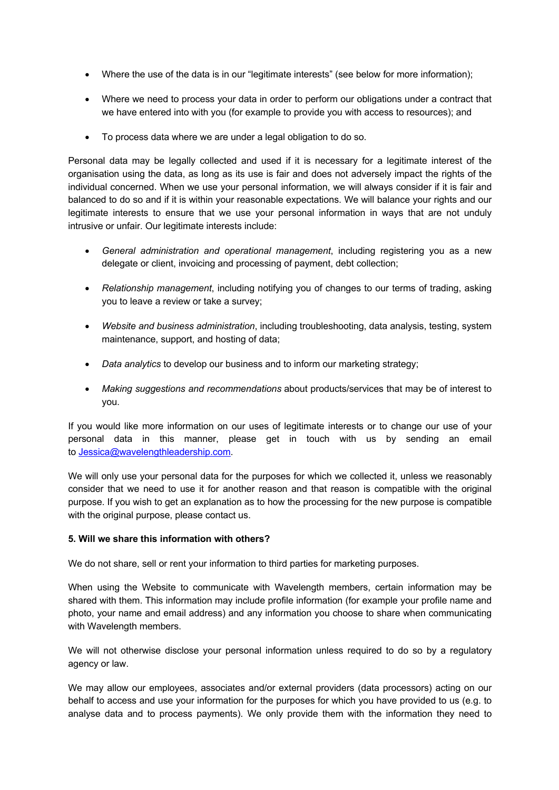- Where the use of the data is in our "legitimate interests" (see below for more information);
- Where we need to process your data in order to perform our obligations under a contract that we have entered into with you (for example to provide you with access to resources); and
- To process data where we are under a legal obligation to do so.

Personal data may be legally collected and used if it is necessary for a legitimate interest of the organisation using the data, as long as its use is fair and does not adversely impact the rights of the individual concerned. When we use your personal information, we will always consider if it is fair and balanced to do so and if it is within your reasonable expectations. We will balance your rights and our legitimate interests to ensure that we use your personal information in ways that are not unduly intrusive or unfair. Our legitimate interests include:

- *General administration and operational management*, including registering you as a new delegate or client, invoicing and processing of payment, debt collection;
- *Relationship management*, including notifying you of changes to our terms of trading, asking you to leave a review or take a survey;
- *Website and business administration*, including troubleshooting, data analysis, testing, system maintenance, support, and hosting of data;
- *Data analytics* to develop our business and to inform our marketing strategy;
- *Making suggestions and recommendations* about products/services that may be of interest to you.

If you would like more information on our uses of legitimate interests or to change our use of your personal data in this manner, please get in touch with us by sending an email to Jessica@wavelengthleadership.com.

We will only use your personal data for the purposes for which we collected it, unless we reasonably consider that we need to use it for another reason and that reason is compatible with the original purpose. If you wish to get an explanation as to how the processing for the new purpose is compatible with the original purpose, please contact us.

### **5. Will we share this information with others?**

We do not share, sell or rent your information to third parties for marketing purposes.

When using the Website to communicate with Wavelength members, certain information may be shared with them. This information may include profile information (for example your profile name and photo, your name and email address) and any information you choose to share when communicating with Wavelength members.

We will not otherwise disclose your personal information unless required to do so by a regulatory agency or law.

We may allow our employees, associates and/or external providers (data processors) acting on our behalf to access and use your information for the purposes for which you have provided to us (e.g. to analyse data and to process payments). We only provide them with the information they need to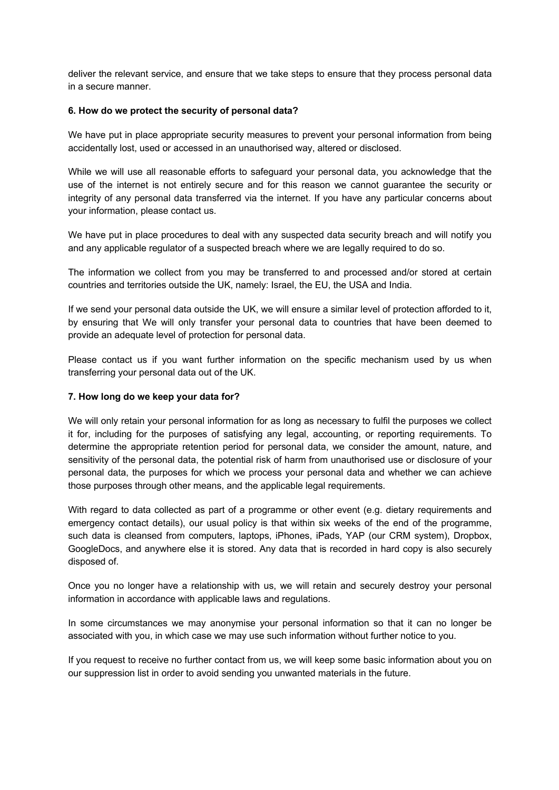deliver the relevant service, and ensure that we take steps to ensure that they process personal data in a secure manner.

#### **6. How do we protect the security of personal data?**

We have put in place appropriate security measures to prevent your personal information from being accidentally lost, used or accessed in an unauthorised way, altered or disclosed.

While we will use all reasonable efforts to safeguard your personal data, you acknowledge that the use of the internet is not entirely secure and for this reason we cannot guarantee the security or integrity of any personal data transferred via the internet. If you have any particular concerns about your information, please contact us.

We have put in place procedures to deal with any suspected data security breach and will notify you and any applicable regulator of a suspected breach where we are legally required to do so.

The information we collect from you may be transferred to and processed and/or stored at certain countries and territories outside the UK, namely: Israel, the EU, the USA and India.

If we send your personal data outside the UK, we will ensure a similar level of protection afforded to it, by ensuring that We will only transfer your personal data to countries that have been deemed to provide an adequate level of protection for personal data.

Please contact us if you want further information on the specific mechanism used by us when transferring your personal data out of the UK.

#### **7. How long do we keep your data for?**

We will only retain your personal information for as long as necessary to fulfil the purposes we collect it for, including for the purposes of satisfying any legal, accounting, or reporting requirements. To determine the appropriate retention period for personal data, we consider the amount, nature, and sensitivity of the personal data, the potential risk of harm from unauthorised use or disclosure of your personal data, the purposes for which we process your personal data and whether we can achieve those purposes through other means, and the applicable legal requirements.

With regard to data collected as part of a programme or other event (e.g. dietary requirements and emergency contact details), our usual policy is that within six weeks of the end of the programme, such data is cleansed from computers, laptops, iPhones, iPads, YAP (our CRM system), Dropbox, GoogleDocs, and anywhere else it is stored. Any data that is recorded in hard copy is also securely disposed of.

Once you no longer have a relationship with us, we will retain and securely destroy your personal information in accordance with applicable laws and regulations.

In some circumstances we may anonymise your personal information so that it can no longer be associated with you, in which case we may use such information without further notice to you.

If you request to receive no further contact from us, we will keep some basic information about you on our suppression list in order to avoid sending you unwanted materials in the future.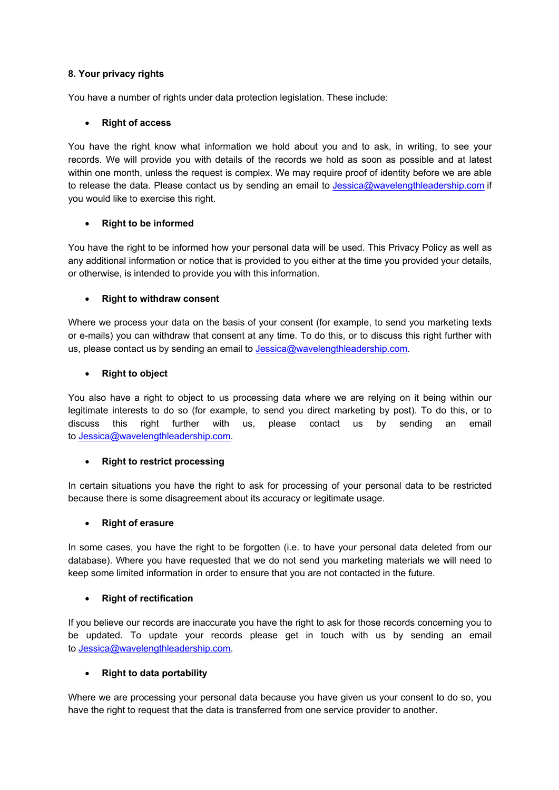## **8. Your privacy rights**

You have a number of rights under data protection legislation. These include:

## • **Right of access**

You have the right know what information we hold about you and to ask, in writing, to see your records. We will provide you with details of the records we hold as soon as possible and at latest within one month, unless the request is complex. We may require proof of identity before we are able to release the data. Please contact us by sending an email to Jessica@wavelengthleadership.com if you would like to exercise this right.

## • **Right to be informed**

You have the right to be informed how your personal data will be used. This Privacy Policy as well as any additional information or notice that is provided to you either at the time you provided your details, or otherwise, is intended to provide you with this information.

## • **Right to withdraw consent**

Where we process your data on the basis of your consent (for example, to send you marketing texts or e-mails) you can withdraw that consent at any time. To do this, or to discuss this right further with us, please contact us by sending an email to Jessica@wavelengthleadership.com.

## • **Right to object**

You also have a right to object to us processing data where we are relying on it being within our legitimate interests to do so (for example, to send you direct marketing by post). To do this, or to discuss this right further with us, please contact us by sending an email to Jessica@wavelengthleadership.com.

### • **Right to restrict processing**

In certain situations you have the right to ask for processing of your personal data to be restricted because there is some disagreement about its accuracy or legitimate usage.

### • **Right of erasure**

In some cases, you have the right to be forgotten (i.e. to have your personal data deleted from our database). Where you have requested that we do not send you marketing materials we will need to keep some limited information in order to ensure that you are not contacted in the future.

# • **Right of rectification**

If you believe our records are inaccurate you have the right to ask for those records concerning you to be updated. To update your records please get in touch with us by sending an email to Jessica@wavelengthleadership.com.

# • **Right to data portability**

Where we are processing your personal data because you have given us your consent to do so, you have the right to request that the data is transferred from one service provider to another.